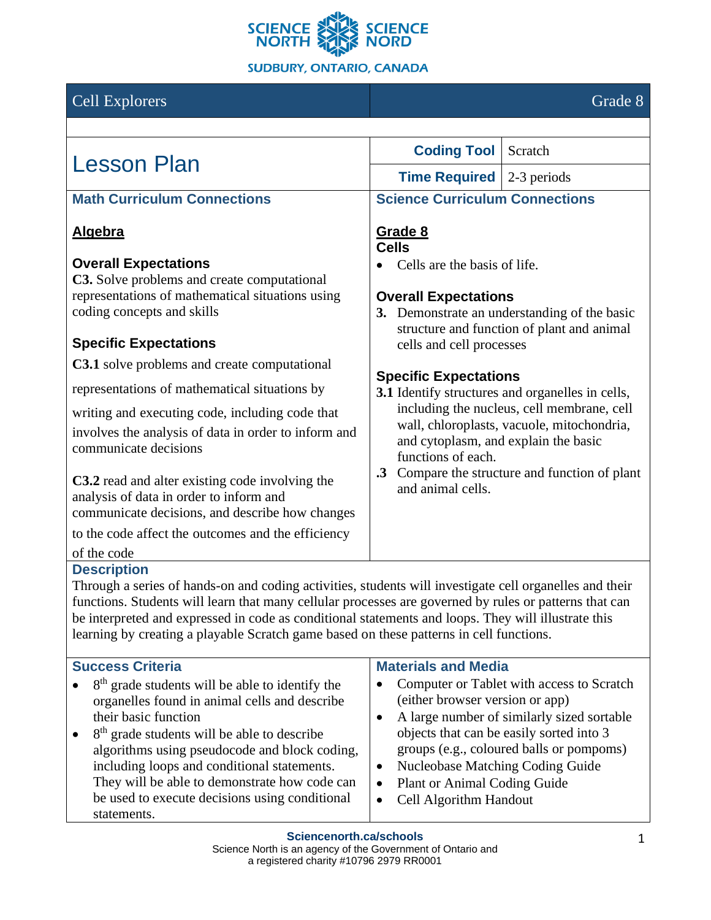

# **Cell Explorers** Grade 8

| <b>Lesson Plan</b>                                                                                                                                                                                                                                                                                                                                                                                                                                                                                                | <b>Coding Tool</b>                                                                                                                                                                                                                                                                | Scratch                                                                                                                             |  |
|-------------------------------------------------------------------------------------------------------------------------------------------------------------------------------------------------------------------------------------------------------------------------------------------------------------------------------------------------------------------------------------------------------------------------------------------------------------------------------------------------------------------|-----------------------------------------------------------------------------------------------------------------------------------------------------------------------------------------------------------------------------------------------------------------------------------|-------------------------------------------------------------------------------------------------------------------------------------|--|
|                                                                                                                                                                                                                                                                                                                                                                                                                                                                                                                   | <b>Time Required</b>                                                                                                                                                                                                                                                              | 2-3 periods                                                                                                                         |  |
| <b>Math Curriculum Connections</b>                                                                                                                                                                                                                                                                                                                                                                                                                                                                                | <b>Science Curriculum Connections</b>                                                                                                                                                                                                                                             |                                                                                                                                     |  |
| <u>Algebra</u>                                                                                                                                                                                                                                                                                                                                                                                                                                                                                                    | Grade 8<br><b>Cells</b>                                                                                                                                                                                                                                                           |                                                                                                                                     |  |
| <b>Overall Expectations</b><br>C3. Solve problems and create computational<br>representations of mathematical situations using<br>coding concepts and skills                                                                                                                                                                                                                                                                                                                                                      | Cells are the basis of life.<br><b>Overall Expectations</b>                                                                                                                                                                                                                       | 3. Demonstrate an understanding of the basic<br>structure and function of plant and animal                                          |  |
| <b>Specific Expectations</b>                                                                                                                                                                                                                                                                                                                                                                                                                                                                                      | cells and cell processes                                                                                                                                                                                                                                                          |                                                                                                                                     |  |
| <b>C3.1</b> solve problems and create computational                                                                                                                                                                                                                                                                                                                                                                                                                                                               | <b>Specific Expectations</b>                                                                                                                                                                                                                                                      |                                                                                                                                     |  |
| representations of mathematical situations by                                                                                                                                                                                                                                                                                                                                                                                                                                                                     | 3.1 Identify structures and organelles in cells,<br>including the nucleus, cell membrane, cell<br>wall, chloroplasts, vacuole, mitochondria,<br>and cytoplasm, and explain the basic<br>functions of each.<br>.3 Compare the structure and function of plant<br>and animal cells. |                                                                                                                                     |  |
| writing and executing code, including code that<br>involves the analysis of data in order to inform and<br>communicate decisions                                                                                                                                                                                                                                                                                                                                                                                  |                                                                                                                                                                                                                                                                                   |                                                                                                                                     |  |
| <b>C3.2</b> read and alter existing code involving the<br>analysis of data in order to inform and<br>communicate decisions, and describe how changes                                                                                                                                                                                                                                                                                                                                                              |                                                                                                                                                                                                                                                                                   |                                                                                                                                     |  |
| to the code affect the outcomes and the efficiency                                                                                                                                                                                                                                                                                                                                                                                                                                                                |                                                                                                                                                                                                                                                                                   |                                                                                                                                     |  |
| of the code<br><b>Description</b><br>Through a series of hands-on and coding activities, students will investigate cell organelles and their<br>functions. Students will learn that many cellular processes are governed by rules or patterns that can<br>be interpreted and expressed in code as conditional statements and loops. They will illustrate this<br>learning by creating a playable Scratch game based on these patterns in cell functions.<br><b>Materials and Media</b><br><b>Success Criteria</b> |                                                                                                                                                                                                                                                                                   |                                                                                                                                     |  |
| 8 <sup>th</sup> grade students will be able to identify the<br>organelles found in animal cells and describe<br>their basic function<br>8 <sup>th</sup> grade students will be able to describe                                                                                                                                                                                                                                                                                                                   | (either browser version or app)<br>٠                                                                                                                                                                                                                                              | Computer or Tablet with access to Scratch<br>A large number of similarly sized sortable<br>objects that can be easily sorted into 3 |  |

- groups (e.g., coloured balls or pompoms)
- Nucleobase Matching Coding Guide
- Plant or Animal Coding Guide
- Cell Algorithm Handout

algorithms using pseudocode and block coding, including loops and conditional statements. They will be able to demonstrate how code can be used to execute decisions using conditional

statements.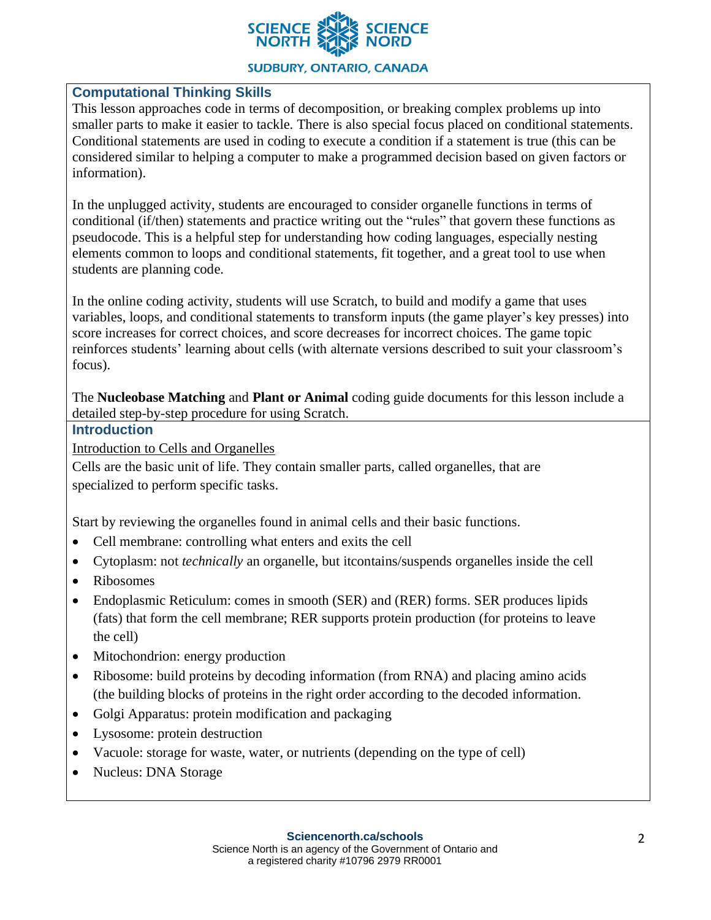

### **Computational Thinking Skills**

This lesson approaches code in terms of decomposition, or breaking complex problems up into smaller parts to make it easier to tackle. There is also special focus placed on conditional statements. Conditional statements are used in coding to execute a condition if a statement is true (this can be considered similar to helping a computer to make a programmed decision based on given factors or information).

In the unplugged activity, students are encouraged to consider organelle functions in terms of conditional (if/then) statements and practice writing out the "rules" that govern these functions as pseudocode. This is a helpful step for understanding how coding languages, especially nesting elements common to loops and conditional statements, fit together, and a great tool to use when students are planning code.

In the online coding activity, students will use Scratch, to build and modify a game that uses variables, loops, and conditional statements to transform inputs (the game player's key presses) into score increases for correct choices, and score decreases for incorrect choices. The game topic reinforces students' learning about cells (with alternate versions described to suit your classroom's focus).

The **Nucleobase Matching** and **Plant or Animal** coding guide documents for this lesson include a detailed step-by-step procedure for using Scratch.

#### **Introduction**

Introduction to Cells and Organelles

Cells are the basic unit of life. They contain smaller parts, called organelles, that are specialized to perform specific tasks.

Start by reviewing the organelles found in animal cells and their basic functions.

- Cell membrane: controlling what enters and exits the cell
- Cytoplasm: not *technically* an organelle, but itcontains/suspends organelles inside the cell
- Ribosomes
- Endoplasmic Reticulum: comes in smooth (SER) and (RER) forms. SER produces lipids (fats) that form the cell membrane; RER supports protein production (for proteins to leave the cell)
- Mitochondrion: energy production
- Ribosome: build proteins by decoding information (from RNA) and placing amino acids (the building blocks of proteins in the right order according to the decoded information.
- Golgi Apparatus: protein modification and packaging
- Lysosome: protein destruction
- Vacuole: storage for waste, water, or nutrients (depending on the type of cell)
- Nucleus: DNA Storage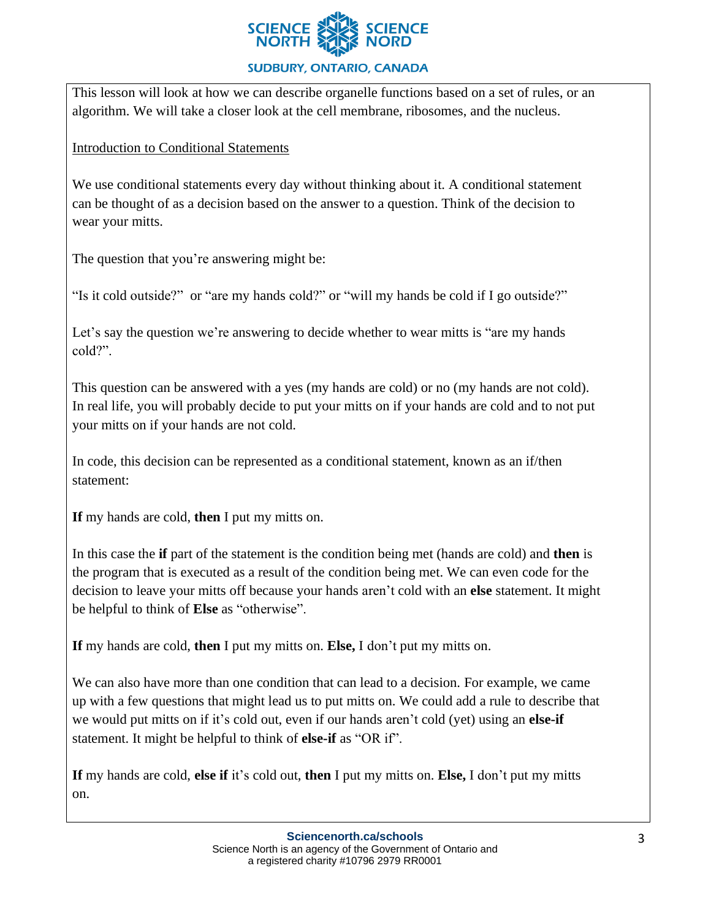

This lesson will look at how we can describe organelle functions based on a set of rules, or an algorithm. We will take a closer look at the cell membrane, ribosomes, and the nucleus.

Introduction to Conditional Statements

We use conditional statements every day without thinking about it. A conditional statement can be thought of as a decision based on the answer to a question. Think of the decision to wear your mitts.

The question that you're answering might be:

"Is it cold outside?" or "are my hands cold?" or "will my hands be cold if I go outside?"

Let's say the question we're answering to decide whether to wear mitts is "are my hands" cold?".

This question can be answered with a yes (my hands are cold) or no (my hands are not cold). In real life, you will probably decide to put your mitts on if your hands are cold and to not put your mitts on if your hands are not cold.

In code, this decision can be represented as a conditional statement, known as an if/then statement:

**If** my hands are cold, **then** I put my mitts on.

In this case the **if** part of the statement is the condition being met (hands are cold) and **then** is the program that is executed as a result of the condition being met. We can even code for the decision to leave your mitts off because your hands aren't cold with an **else** statement. It might be helpful to think of **Else** as "otherwise".

**If** my hands are cold, **then** I put my mitts on. **Else,** I don't put my mitts on.

We can also have more than one condition that can lead to a decision. For example, we came up with a few questions that might lead us to put mitts on. We could add a rule to describe that we would put mitts on if it's cold out, even if our hands aren't cold (yet) using an **else-if** statement. It might be helpful to think of **else-if** as "OR if".

**If** my hands are cold, **else if** it's cold out, **then** I put my mitts on. **Else,** I don't put my mitts on.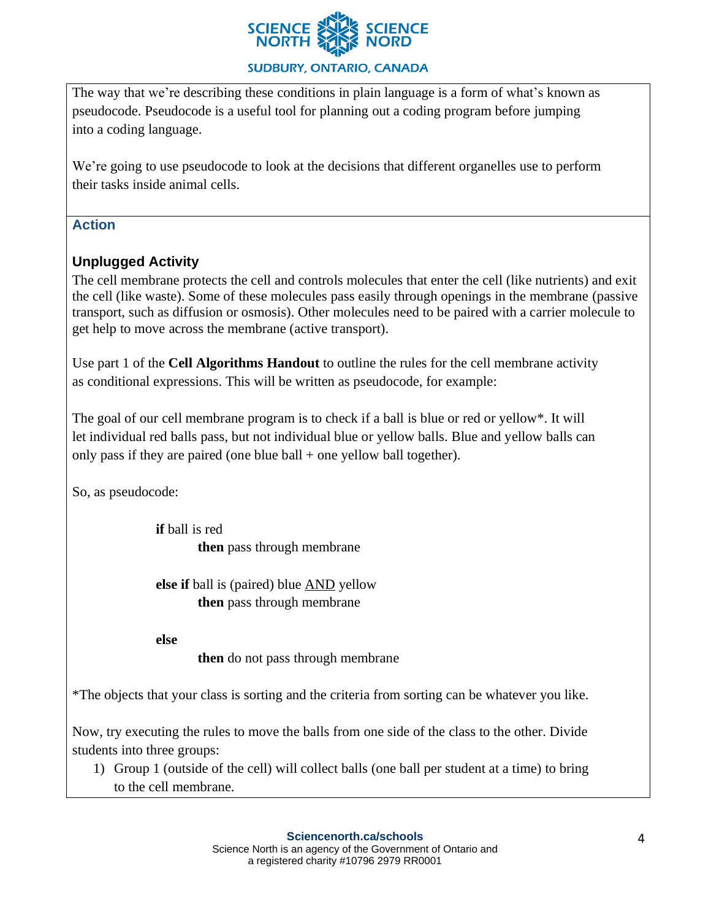

The way that we're describing these conditions in plain language is a form of what's known as pseudocode. Pseudocode is a useful tool for planning out a coding program before jumping into a coding language.

We're going to use pseudocode to look at the decisions that different organelles use to perform their tasks inside animal cells.

### **Action**

# **Unplugged Activity**

The cell membrane protects the cell and controls molecules that enter the cell (like nutrients) and exit the cell (like waste). Some of these molecules pass easily through openings in the membrane (passive transport, such as diffusion or osmosis). Other molecules need to be paired with a carrier molecule to get help to move across the membrane (active transport).

Use part 1 of the **Cell Algorithms Handout** to outline the rules for the cell membrane activity as conditional expressions. This will be written as pseudocode, for example:

The goal of our cell membrane program is to check if a ball is blue or red or yellow\*. It will let individual red balls pass, but not individual blue or yellow balls. Blue and yellow balls can only pass if they are paired (one blue ball  $+$  one yellow ball together).

So, as pseudocode:

**if** ball is red **then** pass through membrane

**else if** ball is (paired) blue AND yellow **then** pass through membrane

**else**

**then** do not pass through membrane

\*The objects that your class is sorting and the criteria from sorting can be whatever you like.

Now, try executing the rules to move the balls from one side of the class to the other. Divide students into three groups:

1) Group 1 (outside of the cell) will collect balls (one ball per student at a time) to bring to the cell membrane.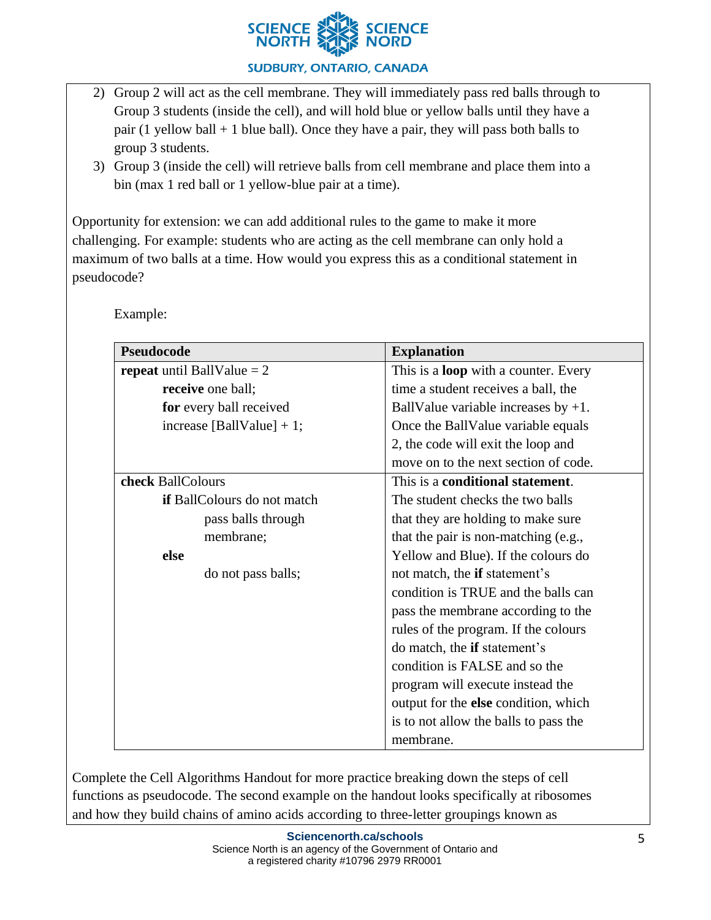

- 2) Group 2 will act as the cell membrane. They will immediately pass red balls through to Group 3 students (inside the cell), and will hold blue or yellow balls until they have a pair (1 yellow ball  $+$  1 blue ball). Once they have a pair, they will pass both balls to group 3 students.
- 3) Group 3 (inside the cell) will retrieve balls from cell membrane and place them into a bin (max 1 red ball or 1 yellow-blue pair at a time).

Opportunity for extension: we can add additional rules to the game to make it more challenging. For example: students who are acting as the cell membrane can only hold a maximum of two balls at a time. How would you express this as a conditional statement in pseudocode?

Example:

| <b>Pseudocode</b>                   | <b>Explanation</b>                          |  |
|-------------------------------------|---------------------------------------------|--|
| <b>repeat</b> until BallValue $= 2$ | This is a <b>loop</b> with a counter. Every |  |
| receive one ball;                   | time a student receives a ball, the         |  |
| for every ball received             | BallValue variable increases by $+1$ .      |  |
| increase [BallValue] $+ 1$ ;        | Once the BallValue variable equals          |  |
|                                     | 2, the code will exit the loop and          |  |
|                                     | move on to the next section of code.        |  |
| check BallColours                   | This is a conditional statement.            |  |
| if BallColours do not match         | The student checks the two balls            |  |
| pass balls through                  | that they are holding to make sure          |  |
| membrane;                           | that the pair is non-matching (e.g.,        |  |
| else                                | Yellow and Blue). If the colours do         |  |
| do not pass balls;                  | not match, the <b>if</b> statement's        |  |
|                                     | condition is TRUE and the balls can         |  |
|                                     | pass the membrane according to the          |  |
|                                     | rules of the program. If the colours        |  |
|                                     | do match, the <b>if</b> statement's         |  |
|                                     | condition is FALSE and so the               |  |
|                                     | program will execute instead the            |  |
|                                     | output for the <b>else</b> condition, which |  |
|                                     | is to not allow the balls to pass the       |  |
|                                     | membrane.                                   |  |

Complete the Cell Algorithms Handout for more practice breaking down the steps of cell functions as pseudocode. The second example on the handout looks specifically at ribosomes and how they build chains of amino acids according to three-letter groupings known as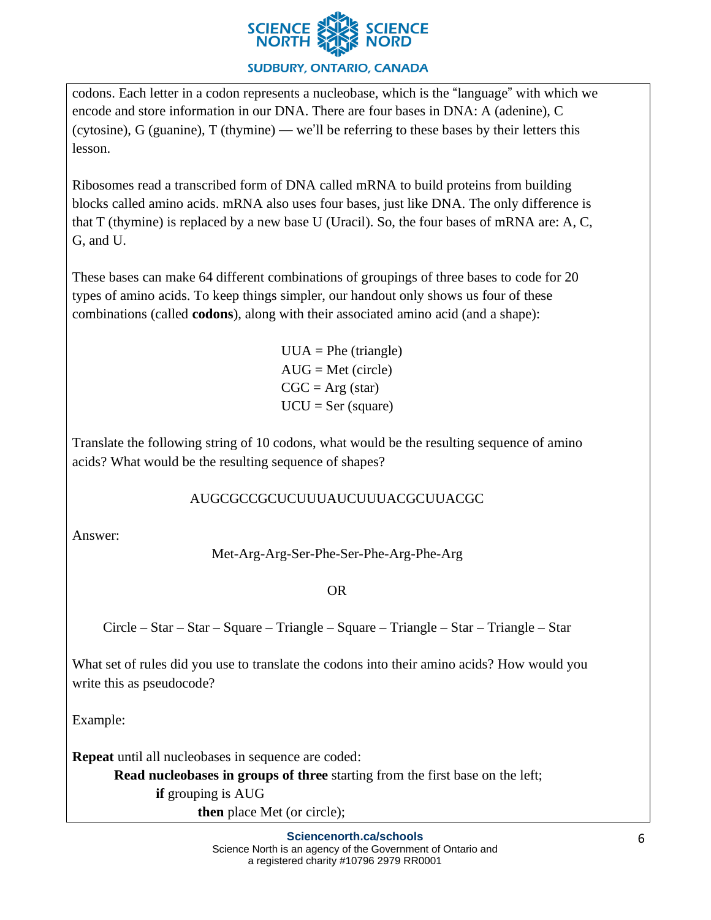

codons. Each letter in a codon represents a nucleobase, which is the "language" with which we encode and store information in our DNA. There are four bases in DNA: A (adenine), C (cytosine), G (guanine), T (thymine) — we'll be referring to these bases by their letters this lesson.

Ribosomes read a transcribed form of DNA called mRNA to build proteins from building blocks called amino acids. mRNA also uses four bases, just like DNA. The only difference is that T (thymine) is replaced by a new base U (Uracil). So, the four bases of mRNA are: A, C, G, and U.

These bases can make 64 different combinations of groupings of three bases to code for 20 types of amino acids. To keep things simpler, our handout only shows us four of these combinations (called **codons**), along with their associated amino acid (and a shape):

> $UUA = Phe (triangle)$  $AUG = Met$  (circle)  $CGC = Arg (star)$  $UCU = Ser$  (square)

Translate the following string of 10 codons, what would be the resulting sequence of amino acids? What would be the resulting sequence of shapes?

# AUGCGCCGCUCUUUAUCUUUACGCUUACGC

Answer:

Met-Arg-Arg-Ser-Phe-Ser-Phe-Arg-Phe-Arg

OR

Circle – Star – Star – Square – Triangle – Square – Triangle – Star – Triangle – Star

What set of rules did you use to translate the codons into their amino acids? How would you write this as pseudocode?

Example:

**Repeat** until all nucleobases in sequence are coded:

**Read nucleobases in groups of three** starting from the first base on the left;

**if** grouping is AUG

**then** place Met (or circle);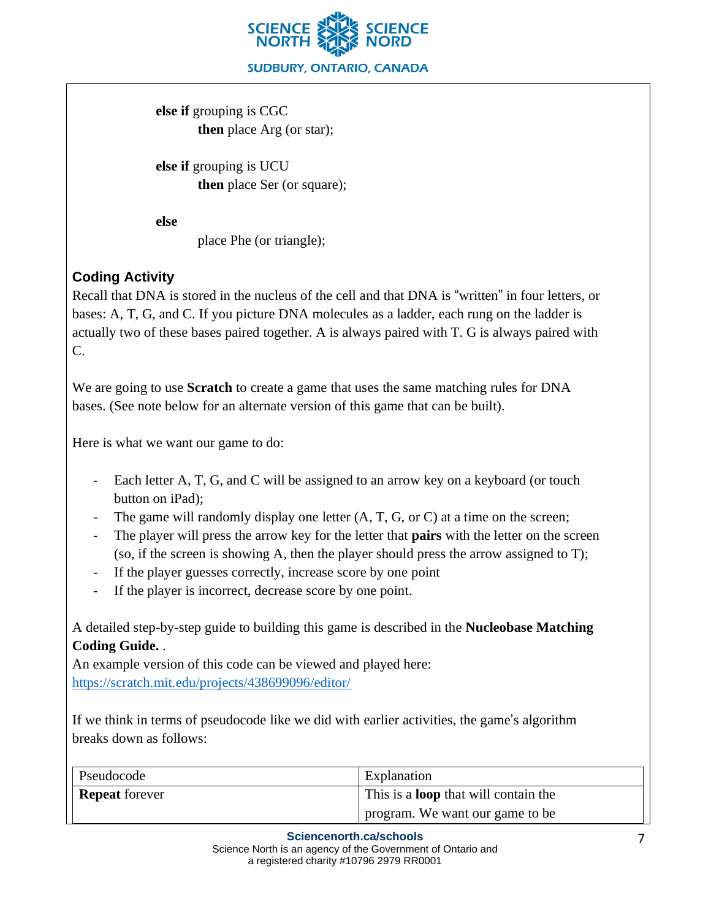

**else if** grouping is CGC **then** place Arg (or star);

**else if** grouping is UCU **then** place Ser (or square);

**else**

place Phe (or triangle);

# **Coding Activity**

Recall that DNA is stored in the nucleus of the cell and that DNA is "written" in four letters, or bases: A, T, G, and C. If you picture DNA molecules as a ladder, each rung on the ladder is actually two of these bases paired together. A is always paired with T. G is always paired with C.

We are going to use **Scratch** to create a game that uses the same matching rules for DNA bases. (See note below for an alternate version of this game that can be built).

Here is what we want our game to do:

- Each letter A, T, G, and C will be assigned to an arrow key on a keyboard (or touch button on iPad);
- The game will randomly display one letter  $(A, T, G, or C)$  at a time on the screen;
- The player will press the arrow key for the letter that **pairs** with the letter on the screen (so, if the screen is showing A, then the player should press the arrow assigned to T);
- If the player guesses correctly, increase score by one point
- If the player is incorrect, decrease score by one point.

A detailed step-by-step guide to building this game is described in the **Nucleobase Matching Coding Guide.** .

An example version of this code can be viewed and played here: <https://scratch.mit.edu/projects/438699096/editor/>

If we think in terms of pseudocode like we did with earlier activities, the game's algorithm breaks down as follows:

| Pseudocode            | Explanation                                 |
|-----------------------|---------------------------------------------|
| <b>Repeat</b> forever | This is a <b>loop</b> that will contain the |
|                       | program. We want our game to be             |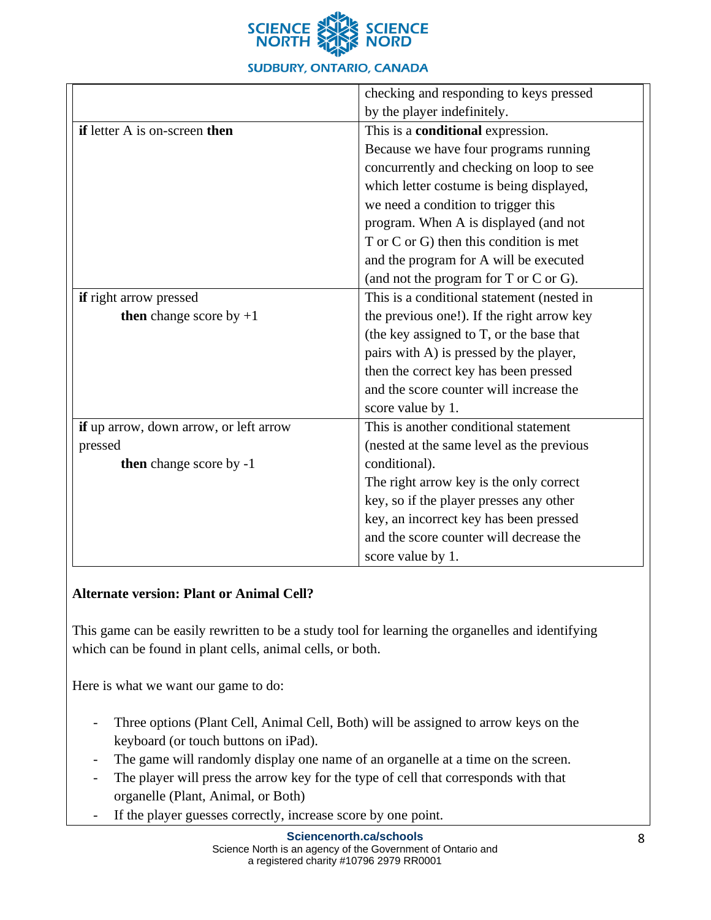

|                                        | checking and responding to keys pressed       |  |
|----------------------------------------|-----------------------------------------------|--|
|                                        | by the player indefinitely.                   |  |
| if letter A is on-screen then          | This is a <b>conditional</b> expression.      |  |
|                                        | Because we have four programs running         |  |
|                                        | concurrently and checking on loop to see      |  |
|                                        | which letter costume is being displayed,      |  |
|                                        | we need a condition to trigger this           |  |
|                                        | program. When A is displayed (and not         |  |
|                                        | T or C or G) then this condition is met       |  |
|                                        | and the program for A will be executed        |  |
|                                        | (and not the program for $T$ or $C$ or $G$ ). |  |
| <b>if</b> right arrow pressed          | This is a conditional statement (nested in    |  |
| <b>then</b> change score by $+1$       | the previous one!). If the right arrow key    |  |
|                                        | (the key assigned to T, or the base that      |  |
|                                        | pairs with A) is pressed by the player,       |  |
|                                        | then the correct key has been pressed         |  |
|                                        | and the score counter will increase the       |  |
|                                        | score value by 1.                             |  |
| if up arrow, down arrow, or left arrow | This is another conditional statement         |  |
| pressed                                | (nested at the same level as the previous     |  |
| then change score by -1                | conditional).                                 |  |
|                                        | The right arrow key is the only correct       |  |
|                                        | key, so if the player presses any other       |  |
|                                        | key, an incorrect key has been pressed        |  |
|                                        | and the score counter will decrease the       |  |
|                                        | score value by 1.                             |  |

### **Alternate version: Plant or Animal Cell?**

This game can be easily rewritten to be a study tool for learning the organelles and identifying which can be found in plant cells, animal cells, or both.

Here is what we want our game to do:

- Three options (Plant Cell, Animal Cell, Both) will be assigned to arrow keys on the keyboard (or touch buttons on iPad).
- The game will randomly display one name of an organelle at a time on the screen.
- The player will press the arrow key for the type of cell that corresponds with that organelle (Plant, Animal, or Both)
- If the player guesses correctly, increase score by one point.